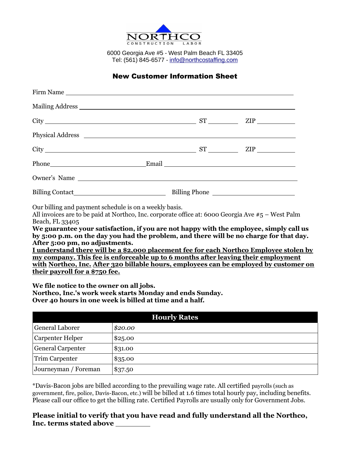

6000 Georgia Ave #5 - West Palm Beach FL 33405 Tel: (561) 845-6577 - [info@northcostaffing.com](mailto:info@northcostaffing.com)

## New Customer Information Sheet

| Mailing Address                                                                                                                                                                                                                     |  |  |  |  |
|-------------------------------------------------------------------------------------------------------------------------------------------------------------------------------------------------------------------------------------|--|--|--|--|
| $City$ $ST$ $ZIP$ $ZIP$                                                                                                                                                                                                             |  |  |  |  |
| Physical Address <u>experience</u> and the contract of the contract of the contract of the contract of the contract of the contract of the contract of the contract of the contract of the contract of the contract of the contract |  |  |  |  |
| $City$ $ST$ $ZIP$ $ZIP$                                                                                                                                                                                                             |  |  |  |  |
|                                                                                                                                                                                                                                     |  |  |  |  |
|                                                                                                                                                                                                                                     |  |  |  |  |
|                                                                                                                                                                                                                                     |  |  |  |  |

Our billing and payment schedule is on a weekly basis.

All invoices are to be paid at Northco, Inc. corporate office at: 6000 Georgia Ave #5 – West Palm Beach, FL 33405

**We guarantee your satisfaction, if you are not happy with the employee, simply call us by 5:00 p.m. on the day you had the problem, and there will be no charge for that day. After 5:00 pm, no adjustments.**

**I understand there will be a \$2,000 placement fee for each Northco Employee stolen by my company. This fee is enforceable up to 6 months after leaving their employment with Northco, Inc. After 320 billable hours, employees can be employed by customer on their payroll for a \$750 fee.**

**We file notice to the owner on all jobs. Northco, Inc.'s work week starts Monday and ends Sunday. Over 40 hours in one week is billed at time and a half.**

| <b>Hourly Rates</b>      |         |  |
|--------------------------|---------|--|
| General Laborer          | \$20.00 |  |
| Carpenter Helper         | \$25.00 |  |
| <b>General Carpenter</b> | \$31.00 |  |
| Trim Carpenter           | \$35.00 |  |
| Journeyman / Foreman     | \$37.50 |  |

\*Davis-Bacon jobs are billed according to the prevailing wage rate. All certified payrolls (such as government, fire, police, Davis-Bacon, etc.) will be billed at 1.6 times total hourly pay, including benefits. Please call our office to get the billing rate. Certified Payrolls are usually only for Government Jobs.

**Please initial to verify that you have read and fully understand all the Northco, Inc. terms stated above**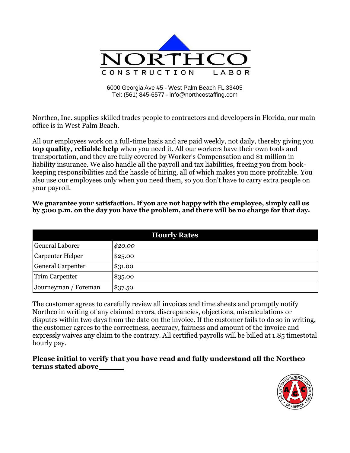

6000 Georgia Ave #5 - West Palm Beach FL 33405 Tel: (561) 845-6577 - [info@northcostaffing.com](mailto:info@northcostaffing.com)

Northco, Inc. supplies skilled trades people to contractors and developers in Florida, our main office is in West Palm Beach.

All our employees work on a full-time basis and are paid weekly, not daily, thereby giving you **top quality, reliable help** when you need it. All our workers have their own tools and transportation, and they are fully covered by Worker's Compensation and \$1 million in liability insurance. We also handle all the payroll and tax liabilities, freeing you from bookkeeping responsibilities and the hassle of hiring, all of which makes you more profitable. You also use our employees only when you need them, so you don't have to carry extra people on your payroll.

| <b>Hourly Rates</b>      |         |  |
|--------------------------|---------|--|
| General Laborer          | \$20.00 |  |
| Carpenter Helper         | \$25.00 |  |
| <b>General Carpenter</b> | \$31.00 |  |
| <b>Trim Carpenter</b>    | \$35.00 |  |
| Journeyman / Foreman     | \$37.50 |  |

**We guarantee your satisfaction. If you are not happy with the employee, simply call us by 5:00 p.m. on the day you have the problem, and there will be no charge for that day.**

The customer agrees to carefully review all invoices and time sheets and promptly notify Northco in writing of any claimed errors, discrepancies, objections, miscalculations or disputes within two days from the date on the invoice. If the customer fails to do so in writing, the customer agrees to the correctness, accuracy, fairness and amount of the invoice and expressly waives any claim to the contrary. All certified payrolls will be billed at 1.85 timestotal hourly pay.

**Please initial to verify that you have read and fully understand all the Northco terms stated above**